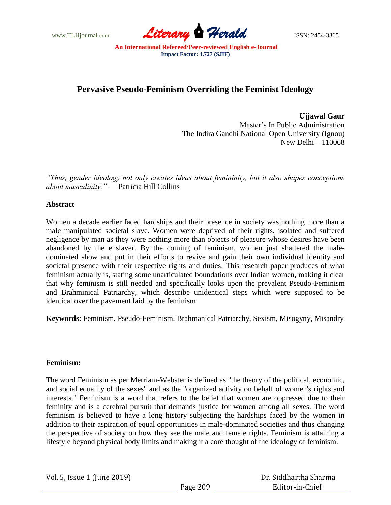

# **Pervasive Pseudo-Feminism Overriding the Feminist Ideology**

**Ujjawal Gaur** Master's In Public Administration The Indira Gandhi National Open University (Ignou) New Delhi – 110068

*"Thus, gender ideology not only creates ideas about femininity, but it also shapes conceptions about masculinity."* ― Patricia Hill Collins

## **Abstract**

Women a decade earlier faced hardships and their presence in society was nothing more than a male manipulated societal slave. Women were deprived of their rights, isolated and suffered negligence by man as they were nothing more than objects of pleasure whose desires have been abandoned by the enslaver. By the coming of feminism, women just shattered the maledominated show and put in their efforts to revive and gain their own individual identity and societal presence with their respective rights and duties. This research paper produces of what feminism actually is, stating some unarticulated boundations over Indian women, making it clear that why feminism is still needed and specifically looks upon the prevalent Pseudo-Feminism and Brahminical Patriarchy, which describe unidentical steps which were supposed to be identical over the pavement laid by the feminism.

**Keywords**: Feminism, Pseudo-Feminism, Brahmanical Patriarchy, Sexism, Misogyny, Misandry

## **Feminism:**

The word Feminism as per Merriam-Webster is defined as "the theory of the political, economic, and social equality of the sexes" and as the "organized activity on behalf of women's rights and interests." Feminism is a word that refers to the belief that women are oppressed due to their feminity and is a cerebral pursuit that demands justice for women among all sexes. The word feminism is believed to have a long history subjecting the hardships faced by the women in addition to their aspiration of equal opportunities in male-dominated societies and thus changing the perspective of society on how they see the male and female rights. Feminism is attaining a lifestyle beyond physical body limits and making it a core thought of the ideology of feminism.

Vol. 5, Issue 1 (June 2019)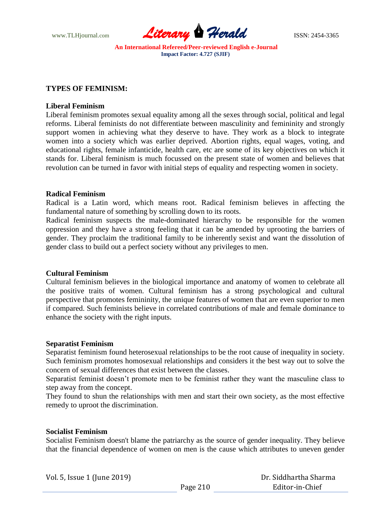

## **TYPES OF FEMINISM:**

#### **Liberal Feminism**

Liberal feminism promotes sexual equality among all the sexes through social, political and legal reforms. Liberal feminists do not differentiate between masculinity and femininity and strongly support women in achieving what they deserve to have. They work as a block to integrate women into a society which was earlier deprived. Abortion rights, equal wages, voting, and educational rights, female infanticide, health care, etc are some of its key objectives on which it stands for. Liberal feminism is much focussed on the present state of women and believes that revolution can be turned in favor with initial steps of equality and respecting women in society.

## **Radical Feminism**

Radical is a Latin word, which means root. Radical feminism believes in affecting the fundamental nature of something by scrolling down to its roots.

Radical feminism suspects the male-dominated hierarchy to be responsible for the women oppression and they have a strong feeling that it can be amended by uprooting the barriers of gender. They proclaim the traditional family to be inherently sexist and want the dissolution of gender class to build out a perfect society without any privileges to men.

## **Cultural Feminism**

Cultural feminism believes in the biological importance and anatomy of women to celebrate all the positive traits of women. Cultural feminism has a strong psychological and cultural perspective that promotes femininity, the unique features of women that are even superior to men if compared. Such feminists believe in correlated contributions of male and female dominance to enhance the society with the right inputs.

#### **Separatist Feminism**

Separatist feminism found heterosexual relationships to be the root cause of inequality in society. Such feminism promotes homosexual relationships and considers it the best way out to solve the concern of sexual differences that exist between the classes.

Separatist feminist doesn't promote men to be feminist rather they want the masculine class to step away from the concept.

They found to shun the relationships with men and start their own society, as the most effective remedy to uproot the discrimination.

## **Socialist Feminism**

Socialist Feminism doesn't blame the patriarchy as the source of gender inequality. They believe that the financial dependence of women on men is the cause which attributes to uneven gender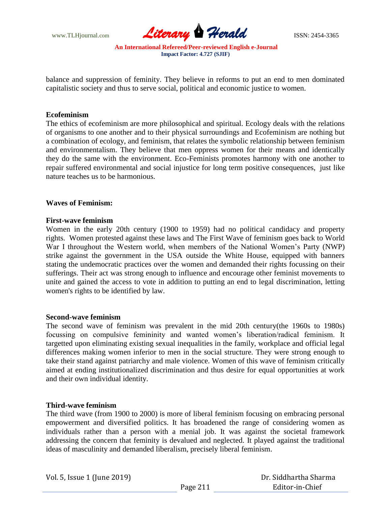

balance and suppression of feminity. They believe in reforms to put an end to men dominated capitalistic society and thus to serve social, political and economic justice to women.

#### **Ecofeminism**

The ethics of ecofeminism are more philosophical and spiritual. Ecology deals with the relations of organisms to one another and to their physical surroundings and Ecofeminism are nothing but a combination of ecology, and feminism, that relates the symbolic relationship between feminism and environmentalism. They believe that men oppress women for their means and identically they do the same with the environment. Eco-Feminists promotes harmony with one another to repair suffered environmental and social injustice for long term positive consequences, just like nature teaches us to be harmonious.

#### **Waves of Feminism:**

#### **First-wave feminism**

Women in the early 20th century (1900 to 1959) had no political candidacy and property rights. Women protested against these laws and The First Wave of feminism goes back to World War I throughout the Western world, when members of the National Women's Party (NWP) strike against the government in the USA outside the White House, equipped with banners stating the undemocratic practices over the women and demanded their rights focussing on their sufferings. Their act was strong enough to influence and encourage other feminist movements to unite and gained the access to vote in addition to putting an end to legal discrimination, letting women's rights to be identified by law.

## **Second-wave feminism**

The second wave of feminism was prevalent in the mid 20th century(the 1960s to 1980s) focussing on compulsive femininity and wanted women's liberation/radical feminism. It targetted upon eliminating existing sexual inequalities in the family, workplace and official legal differences making women inferior to men in the social structure. They were strong enough to take their stand against patriarchy and male violence. Women of this wave of feminism critically aimed at ending institutionalized discrimination and thus desire for equal opportunities at work and their own individual identity.

#### **Third-wave feminism**

The third wave (from 1900 to 2000) is more of liberal feminism focusing on embracing personal empowerment and diversified politics. It has broadened the range of considering women as individuals rather than a person with a menial job. It was against the societal framework addressing the concern that feminity is devalued and neglected. It played against the traditional ideas of masculinity and demanded liberalism, precisely liberal feminism.

Vol. 5, Issue 1 (June 2019)

 Dr. Siddhartha Sharma Editor-in-Chief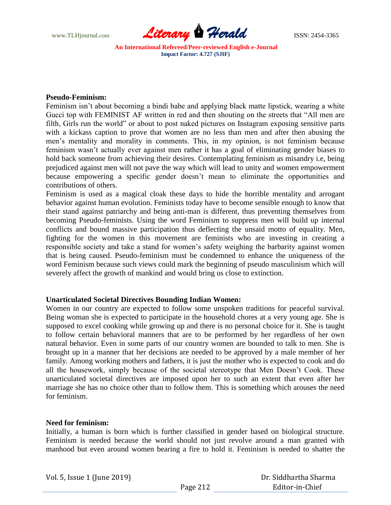

#### **Pseudo-Feminism:**

Feminism isn't about becoming a bindi babe and applying black matte lipstick, wearing a white Gucci top with FEMINIST AF written in red and then shouting on the streets that "All men are filth, Girls run the world" or about to post naked pictures on Instagram exposing sensitive parts with a kickass caption to prove that women are no less than men and after then abusing the men's mentality and morality in comments. This, in my opinion, is not feminism because feminism wasn't actually ever against men rather it has a goal of eliminating gender biases to hold back someone from achieving their desires. Contemplating feminism as misandry i.e, being prejudiced against men will not pave the way which will lead to unity and women empowerment because empowering a specific gender doesn't mean to eliminate the opportunities and contributions of others.

Feminism is used as a magical cloak these days to hide the horrible mentality and arrogant behavior against human evolution. Feminists today have to become sensible enough to know that their stand against patriarchy and being anti-man is different, thus preventing themselves from becoming Pseudo-feminists. Using the word Feminism to suppress men will build up internal conflicts and bound massive participation thus deflecting the unsaid motto of equality. Men, fighting for the women in this movement are feminists who are investing in creating a responsible society and take a stand for women's safety weighing the barbarity against women that is being caused. Pseudo-feminism must be condemned to enhance the uniqueness of the word Feminism because such views could mark the beginning of pseudo masculinism which will severely affect the growth of mankind and would bring us close to extinction.

## **Unarticulated Societal Directives Bounding Indian Women:**

Women in our country are expected to follow some unspoken traditions for peaceful survival. Being woman she is expected to participate in the household chores at a very young age. She is supposed to excel cooking while growing up and there is no personal choice for it. She is taught to follow certain behavioral manners that are to be performed by her regardless of her own natural behavior. Even in some parts of our country women are bounded to talk to men. She is brought up in a manner that her decisions are needed to be approved by a male member of her family. Among working mothers and fathers, it is just the mother who is expected to cook and do all the housework, simply because of the societal stereotype that Men Doesn't Cook. These unarticulated societal directives are imposed upon her to such an extent that even after her marriage she has no choice other than to follow them. This is something which arouses the need for feminism.

## **Need for feminism:**

Initially, a human is born which is further classified in gender based on biological structure. Feminism is needed because the world should not just revolve around a man granted with manhood but even around women bearing a fire to hold it. Feminism is needed to shatter the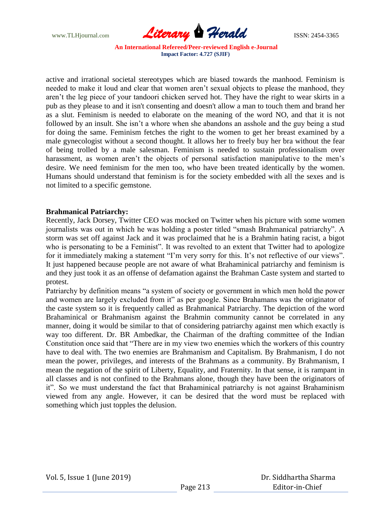

active and irrational societal stereotypes which are biased towards the manhood. Feminism is needed to make it loud and clear that women aren't sexual objects to please the manhood, they aren't the leg piece of your tandoori chicken served hot. They have the right to wear skirts in a pub as they please to and it isn't consenting and doesn't allow a man to touch them and brand her as a slut. Feminism is needed to elaborate on the meaning of the word NO, and that it is not followed by an insult. She isn't a whore when she abandons an asshole and the guy being a stud for doing the same. Feminism fetches the right to the women to get her breast examined by a male gynecologist without a second thought. It allows her to freely buy her bra without the fear of being trolled by a male salesman. Feminism is needed to sustain professionalism over harassment, as women aren't the objects of personal satisfaction manipulative to the men's desire. We need feminism for the men too, who have been treated identically by the women. Humans should understand that feminism is for the society embedded with all the sexes and is not limited to a specific gemstone.

## **Brahmanical Patriarchy:**

Recently, Jack Dorsey, Twitter CEO was mocked on Twitter when his picture with some women journalists was out in which he was holding a poster titled "smash Brahmanical patriarchy". A storm was set off against Jack and it was proclaimed that he is a Brahmin hating racist, a bigot who is personating to be a Feminist". It was revolted to an extent that Twitter had to apologize for it immediately making a statement "I'm very sorry for this. It's not reflective of our views". It just happened because people are not aware of what Brahaminical patriarchy and feminism is and they just took it as an offense of defamation against the Brahman Caste system and started to protest.

Patriarchy by definition means "a system of society or government in which men hold the power and women are largely excluded from it" as per google. Since Brahamans was the originator of the caste system so it is frequently called as Brahmanical Patriarchy. The depiction of the word Brahaminical or Brahmanism against the Brahmin community cannot be correlated in any manner, doing it would be similar to that of considering patriarchy against men which exactly is way too different. Dr. BR Ambedkar, the Chairman of the drafting committee of the Indian Constitution once said that "There are in my view two enemies which the workers of this country have to deal with. The two enemies are Brahmanism and Capitalism. By Brahmanism, I do not mean the power, privileges, and interests of the Brahmans as a community. By Brahmanism, I mean the negation of the spirit of Liberty, Equality, and Fraternity. In that sense, it is rampant in all classes and is not confined to the Brahmans alone, though they have been the originators of it". So we must understand the fact that Brahaminical patriarchy is not against Brahaminism viewed from any angle. However, it can be desired that the word must be replaced with something which just topples the delusion.